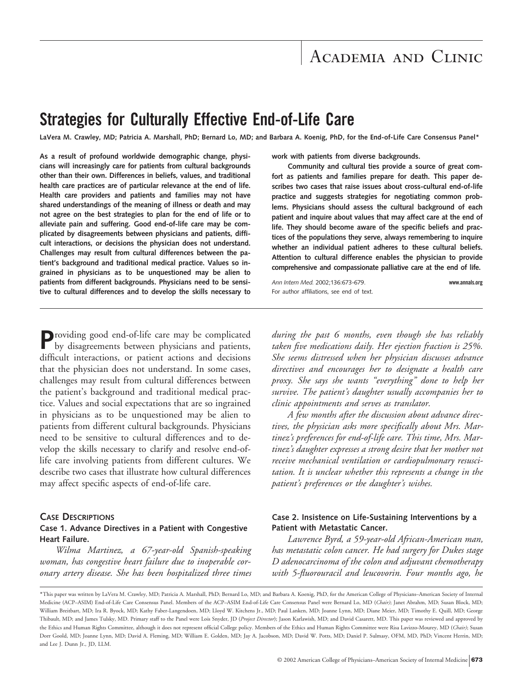# Academia and Clinic

## **Strategies for Culturally Effective End-of-Life Care**

**LaVera M. Crawley, MD; Patricia A. Marshall, PhD; Bernard Lo, MD; and Barbara A. Koenig, PhD, for the End-of-Life Care Consensus Panel\***

**As a result of profound worldwide demographic change, physicians will increasingly care for patients from cultural backgrounds other than their own. Differences in beliefs, values, and traditional health care practices are of particular relevance at the end of life. Health care providers and patients and families may not have shared understandings of the meaning of illness or death and may not agree on the best strategies to plan for the end of life or to alleviate pain and suffering. Good end-of-life care may be complicated by disagreements between physicians and patients, difficult interactions, or decisions the physician does not understand. Challenges may result from cultural differences between the patient's background and traditional medical practice. Values so ingrained in physicians as to be unquestioned may be alien to patients from different backgrounds. Physicians need to be sensitive to cultural differences and to develop the skills necessary to** **work with patients from diverse backgrounds.**

**Community and cultural ties provide a source of great comfort as patients and families prepare for death. This paper describes two cases that raise issues about cross-cultural end-of-life practice and suggests strategies for negotiating common problems. Physicians should assess the cultural background of each patient and inquire about values that may affect care at the end of life. They should become aware of the specific beliefs and practices of the populations they serve, always remembering to inquire whether an individual patient adheres to these cultural beliefs. Attention to cultural difference enables the physician to provide comprehensive and compassionate palliative care at the end of life.**

*Ann Intern Med.* 2002;136:673-679. **www.annals.org** For author affiliations, see end of text.

**P**roviding good end-of-life care may be complicated by disagreements between physicians and patients, difficult interactions, or patient actions and decisions that the physician does not understand. In some cases, challenges may result from cultural differences between the patient's background and traditional medical practice. Values and social expectations that are so ingrained in physicians as to be unquestioned may be alien to patients from different cultural backgrounds. Physicians need to be sensitive to cultural differences and to develop the skills necessary to clarify and resolve end-oflife care involving patients from different cultures. We describe two cases that illustrate how cultural differences may affect specific aspects of end-of-life care.

#### **CASE DESCRIPTIONS**

#### **Case 1. Advance Directives in a Patient with Congestive Heart Failure.**

*Wilma Martinez, a 67-year-old Spanish-speaking woman, has congestive heart failure due to inoperable coronary artery disease. She has been hospitalized three times*

*during the past 6 months, even though she has reliably taken five medications daily. Her ejection fraction is 25%. She seems distressed when her physician discusses advance directives and encourages her to designate a health care proxy. She says she wants "everything" done to help her survive. The patient's daughter usually accompanies her to clinic appointments and serves as translator.*

*A few months after the discussion about advance directives, the physician asks more specifically about Mrs. Martinez's preferences for end-of-life care. This time, Mrs. Martinez's daughter expresses a strong desire that her mother not receive mechanical ventilation or cardiopulmonary resuscitation. It is unclear whether this represents a change in the patient's preferences or the daughter's wishes.*

### **Case 2. Insistence on Life-Sustaining Interventions by a Patient with Metastatic Cancer.**

*Lawrence Byrd, a 59-year-old African-American man, has metastatic colon cancer. He had surgery for Dukes stage D adenocarcinoma of the colon and adjuvant chemotherapy with 5-fluorouracil and leucovorin. Four months ago, he*

<sup>\*</sup>This paper was written by LaVera M. Crawley, MD; Patricia A. Marshall, PhD; Bernard Lo, MD; and Barbara A. Koenig, PhD, for the American College of Physicians–American Society of Internal Medicine (ACP–ASIM) End-of-Life Care Consensus Panel. Members of the ACP–ASIM End-of-Life Care Consensus Panel were Bernard Lo, MD (*Chair)*; Janet Abrahm, MD; Susan Block, MD; William Breitbart, MD; Ira R. Byock, MD; Kathy Faber-Langendoen, MD; Lloyd W. Kitchens Jr., MD; Paul Lanken, MD; Joanne Lynn, MD; Diane Meier, MD; Timothy E. Quill, MD; George Thibault, MD; and James Tulsky, MD. Primary staff to the Panel were Lois Snyder, JD (*Project Director*); Jason Karlawish, MD; and David Casarett, MD. This paper was reviewed and approved by the Ethics and Human Rights Committee, although it does not represent official College policy. Members of the Ethics and Human Rights Committee were Risa Lavizzo-Mourey, MD (*Chair)*; Susan Dorr Goold, MD; Joanne Lynn, MD; David A. Fleming, MD; William E. Golden, MD; Jay A. Jacobson, MD; David W. Potts, MD; Daniel P. Sulmasy, OFM, MD, PhD; Vincent Herrin, MD; and Lee J. Dunn Jr., JD, LLM.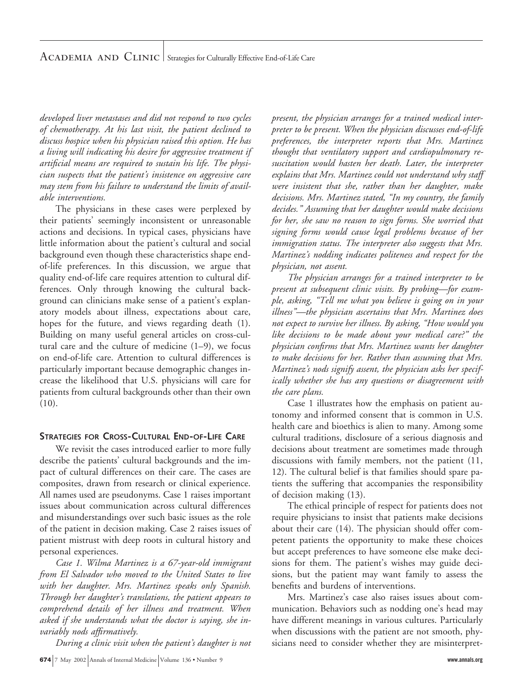## ACADEMIA AND CLINIC Strategies for Culturally Effective End-of-Life Care

*developed liver metastases and did not respond to two cycles of chemotherapy. At his last visit, the patient declined to discuss hospice when his physician raised this option. He has a living will indicating his desire for aggressive treatment if artificial means are required to sustain his life. The physician suspects that the patient's insistence on aggressive care may stem from his failure to understand the limits of available interventions.*

The physicians in these cases were perplexed by their patients' seemingly inconsistent or unreasonable actions and decisions. In typical cases, physicians have little information about the patient's cultural and social background even though these characteristics shape endof-life preferences. In this discussion, we argue that quality end-of-life care requires attention to cultural differences. Only through knowing the cultural background can clinicians make sense of a patient's explanatory models about illness, expectations about care, hopes for the future, and views regarding death (1). Building on many useful general articles on cross-cultural care and the culture of medicine (1–9), we focus on end-of-life care. Attention to cultural differences is particularly important because demographic changes increase the likelihood that U.S. physicians will care for patients from cultural backgrounds other than their own  $(10).$ 

#### **STRATEGIES FOR CROSS-CULTURAL END-OF-LIFE CARE**

We revisit the cases introduced earlier to more fully describe the patients' cultural backgrounds and the impact of cultural differences on their care. The cases are composites, drawn from research or clinical experience. All names used are pseudonyms. Case 1 raises important issues about communication across cultural differences and misunderstandings over such basic issues as the role of the patient in decision making. Case 2 raises issues of patient mistrust with deep roots in cultural history and personal experiences.

*Case 1. Wilma Martinez is a 67-year-old immigrant from El Salvador who moved to the United States to live with her daughter. Mrs. Martinez speaks only Spanish. Through her daughter's translations, the patient appears to comprehend details of her illness and treatment. When asked if she understands what the doctor is saying, she invariably nods affirmatively.*

*During a clinic visit when the patient's daughter is not*

*present, the physician arranges for a trained medical interpreter to be present. When the physician discusses end-of-life preferences, the interpreter reports that Mrs. Martinez thought that ventilatory support and cardiopulmonary resuscitation would hasten her death. Later, the interpreter explains that Mrs. Martinez could not understand why staff were insistent that she, rather than her daughter, make decisions. Mrs. Martinez stated, "In my country, the family decides." Assuming that her daughter would make decisions for her, she saw no reason to sign forms. She worried that signing forms would cause legal problems because of her immigration status. The interpreter also suggests that Mrs. Martinez's nodding indicates politeness and respect for the physician, not assent.*

*The physician arranges for a trained interpreter to be present at subsequent clinic visits. By probing—for example, asking, "Tell me what you believe is going on in your illness"—the physician ascertains that Mrs. Martinez does not expect to survive her illness. By asking, "How would you like decisions to be made about your medical care?" the physician confirms that Mrs. Martinez wants her daughter to make decisions for her. Rather than assuming that Mrs. Martinez's nods signify assent, the physician asks her specifically whether she has any questions or disagreement with the care plans.*

Case 1 illustrates how the emphasis on patient autonomy and informed consent that is common in U.S. health care and bioethics is alien to many. Among some cultural traditions, disclosure of a serious diagnosis and decisions about treatment are sometimes made through discussions with family members, not the patient (11, 12). The cultural belief is that families should spare patients the suffering that accompanies the responsibility of decision making (13).

The ethical principle of respect for patients does not require physicians to insist that patients make decisions about their care (14). The physician should offer competent patients the opportunity to make these choices but accept preferences to have someone else make decisions for them. The patient's wishes may guide decisions, but the patient may want family to assess the benefits and burdens of interventions.

Mrs. Martinez's case also raises issues about communication. Behaviors such as nodding one's head may have different meanings in various cultures. Particularly when discussions with the patient are not smooth, physicians need to consider whether they are misinterpret-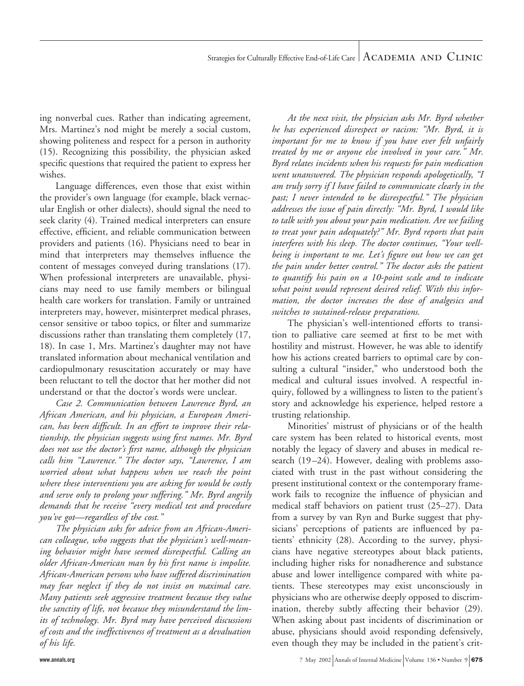ing nonverbal cues. Rather than indicating agreement, Mrs. Martinez's nod might be merely a social custom, showing politeness and respect for a person in authority (15). Recognizing this possibility, the physician asked specific questions that required the patient to express her wishes.

Language differences, even those that exist within the provider's own language (for example, black vernacular English or other dialects), should signal the need to seek clarity (4). Trained medical interpreters can ensure effective, efficient, and reliable communication between providers and patients (16). Physicians need to bear in mind that interpreters may themselves influence the content of messages conveyed during translations (17). When professional interpreters are unavailable, physicians may need to use family members or bilingual health care workers for translation. Family or untrained interpreters may, however, misinterpret medical phrases, censor sensitive or taboo topics, or filter and summarize discussions rather than translating them completely (17, 18). In case 1, Mrs. Martinez's daughter may not have translated information about mechanical ventilation and cardiopulmonary resuscitation accurately or may have been reluctant to tell the doctor that her mother did not understand or that the doctor's words were unclear.

*Case 2. Communication between Lawrence Byrd, an African American, and his physician, a European American, has been difficult. In an effort to improve their relationship, the physician suggests using first names. Mr. Byrd does not use the doctor's first name, although the physician calls him "Lawrence." The doctor says, "Lawrence, I am worried about what happens when we reach the point where these interventions you are asking for would be costly and serve only to prolong your suffering." Mr. Byrd angrily demands that he receive "every medical test and procedure you've got—regardless of the cost."*

*The physician asks for advice from an African-American colleague, who suggests that the physician's well-meaning behavior might have seemed disrespectful. Calling an older African-American man by his first name is impolite. African-American persons who have suffered discrimination may fear neglect if they do not insist on maximal care. Many patients seek aggressive treatment because they value the sanctity of life, not because they misunderstand the limits of technology. Mr. Byrd may have perceived discussions of costs and the ineffectiveness of treatment as a devaluation of his life.*

*At the next visit, the physician asks Mr. Byrd whether he has experienced disrespect or racism: "Mr. Byrd, it is important for me to know if you have ever felt unfairly treated by me or anyone else involved in your care." Mr. Byrd relates incidents when his requests for pain medication went unanswered. The physician responds apologetically, "I am truly sorry if I have failed to communicate clearly in the past; I never intended to be disrespectful." The physician addresses the issue of pain directly: "Mr. Byrd, I would like to talk with you about your pain medication. Are we failing to treat your pain adequately?" Mr. Byrd reports that pain interferes with his sleep. The doctor continues, "Your wellbeing is important to me. Let's figure out how we can get the pain under better control." The doctor asks the patient to quantify his pain on a 10-point scale and to indicate what point would represent desired relief. With this information, the doctor increases the dose of analgesics and switches to sustained-release preparations.*

The physician's well-intentioned efforts to transition to palliative care seemed at first to be met with hostility and mistrust. However, he was able to identify how his actions created barriers to optimal care by consulting a cultural "insider," who understood both the medical and cultural issues involved. A respectful inquiry, followed by a willingness to listen to the patient's story and acknowledge his experience, helped restore a trusting relationship.

Minorities' mistrust of physicians or of the health care system has been related to historical events, most notably the legacy of slavery and abuses in medical research (19–24). However, dealing with problems associated with trust in the past without considering the present institutional context or the contemporary framework fails to recognize the influence of physician and medical staff behaviors on patient trust (25–27). Data from a survey by van Ryn and Burke suggest that physicians' perceptions of patients are influenced by patients' ethnicity (28). According to the survey, physicians have negative stereotypes about black patients, including higher risks for nonadherence and substance abuse and lower intelligence compared with white patients. These stereotypes may exist unconsciously in physicians who are otherwise deeply opposed to discrimination, thereby subtly affecting their behavior (29). When asking about past incidents of discrimination or abuse, physicians should avoid responding defensively, even though they may be included in the patient's crit-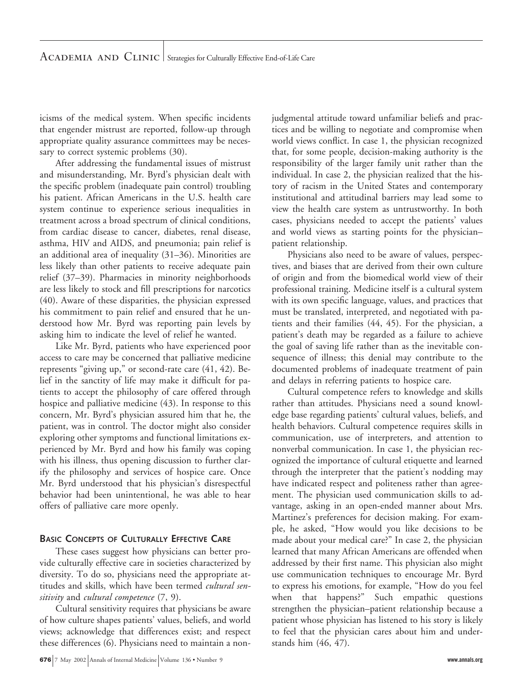icisms of the medical system. When specific incidents that engender mistrust are reported, follow-up through appropriate quality assurance committees may be necessary to correct systemic problems  $(30)$ .

After addressing the fundamental issues of mistrust and misunderstanding, Mr. Byrd's physician dealt with the specific problem (inadequate pain control) troubling his patient. African Americans in the U.S. health care system continue to experience serious inequalities in treatment across a broad spectrum of clinical conditions, from cardiac disease to cancer, diabetes, renal disease, asthma, HIV and AIDS, and pneumonia; pain relief is an additional area of inequality (31–36). Minorities are less likely than other patients to receive adequate pain relief (37–39). Pharmacies in minority neighborhoods are less likely to stock and fill prescriptions for narcotics (40). Aware of these disparities, the physician expressed his commitment to pain relief and ensured that he understood how Mr. Byrd was reporting pain levels by asking him to indicate the level of relief he wanted.

Like Mr. Byrd, patients who have experienced poor access to care may be concerned that palliative medicine represents "giving up," or second-rate care (41, 42). Belief in the sanctity of life may make it difficult for patients to accept the philosophy of care offered through hospice and palliative medicine (43). In response to this concern, Mr. Byrd's physician assured him that he, the patient, was in control. The doctor might also consider exploring other symptoms and functional limitations experienced by Mr. Byrd and how his family was coping with his illness, thus opening discussion to further clarify the philosophy and services of hospice care. Once Mr. Byrd understood that his physician's disrespectful behavior had been unintentional, he was able to hear offers of palliative care more openly.

## **BASIC CONCEPTS OF CULTURALLY EFFECTIVE CARE**

These cases suggest how physicians can better provide culturally effective care in societies characterized by diversity. To do so, physicians need the appropriate attitudes and skills, which have been termed *cultural sensitivity* and *cultural competence* (7, 9).

Cultural sensitivity requires that physicians be aware of how culture shapes patients' values, beliefs, and world views; acknowledge that differences exist; and respect these differences (6). Physicians need to maintain a non-

**676** 7 May 2002 Annals of Internal Medicine Volume 136 • Number 9 **www.annals.org**

judgmental attitude toward unfamiliar beliefs and practices and be willing to negotiate and compromise when world views conflict. In case 1, the physician recognized that, for some people, decision-making authority is the responsibility of the larger family unit rather than the individual. In case 2, the physician realized that the history of racism in the United States and contemporary institutional and attitudinal barriers may lead some to view the health care system as untrustworthy. In both cases, physicians needed to accept the patients' values and world views as starting points for the physician– patient relationship.

Physicians also need to be aware of values, perspectives, and biases that are derived from their own culture of origin and from the biomedical world view of their professional training. Medicine itself is a cultural system with its own specific language, values, and practices that must be translated, interpreted, and negotiated with patients and their families (44, 45). For the physician, a patient's death may be regarded as a failure to achieve the goal of saving life rather than as the inevitable consequence of illness; this denial may contribute to the documented problems of inadequate treatment of pain and delays in referring patients to hospice care.

Cultural competence refers to knowledge and skills rather than attitudes. Physicians need a sound knowledge base regarding patients' cultural values, beliefs, and health behaviors. Cultural competence requires skills in communication, use of interpreters, and attention to nonverbal communication. In case 1, the physician recognized the importance of cultural etiquette and learned through the interpreter that the patient's nodding may have indicated respect and politeness rather than agreement. The physician used communication skills to advantage, asking in an open-ended manner about Mrs. Martinez's preferences for decision making. For example, he asked, "How would you like decisions to be made about your medical care?" In case 2, the physician learned that many African Americans are offended when addressed by their first name. This physician also might use communication techniques to encourage Mr. Byrd to express his emotions, for example, "How do you feel when that happens?" Such empathic questions strengthen the physician–patient relationship because a patient whose physician has listened to his story is likely to feel that the physician cares about him and understands him (46, 47).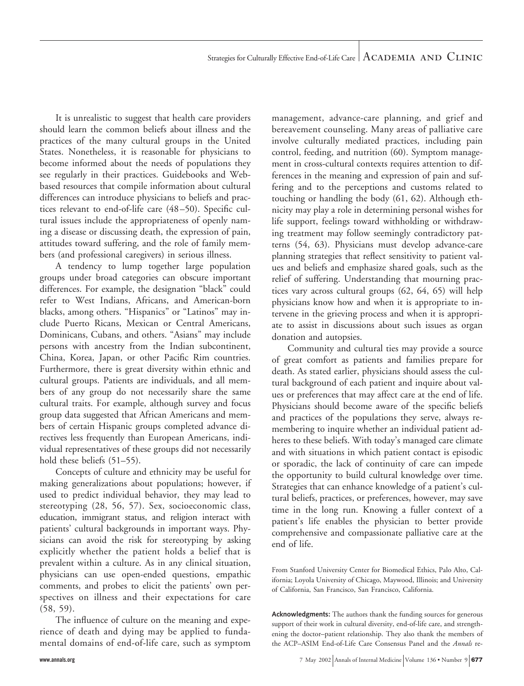It is unrealistic to suggest that health care providers should learn the common beliefs about illness and the practices of the many cultural groups in the United States. Nonetheless, it is reasonable for physicians to become informed about the needs of populations they see regularly in their practices. Guidebooks and Webbased resources that compile information about cultural differences can introduce physicians to beliefs and practices relevant to end-of-life care (48–50). Specific cultural issues include the appropriateness of openly naming a disease or discussing death, the expression of pain, attitudes toward suffering, and the role of family members (and professional caregivers) in serious illness.

A tendency to lump together large population groups under broad categories can obscure important differences. For example, the designation "black" could refer to West Indians, Africans, and American-born blacks, among others. "Hispanics" or "Latinos" may include Puerto Ricans, Mexican or Central Americans, Dominicans, Cubans, and others. "Asians" may include persons with ancestry from the Indian subcontinent, China, Korea, Japan, or other Pacific Rim countries. Furthermore, there is great diversity within ethnic and cultural groups. Patients are individuals, and all members of any group do not necessarily share the same cultural traits. For example, although survey and focus group data suggested that African Americans and members of certain Hispanic groups completed advance directives less frequently than European Americans, individual representatives of these groups did not necessarily hold these beliefs (51–55).

Concepts of culture and ethnicity may be useful for making generalizations about populations; however, if used to predict individual behavior, they may lead to stereotyping (28, 56, 57). Sex, socioeconomic class, education, immigrant status, and religion interact with patients' cultural backgrounds in important ways. Physicians can avoid the risk for stereotyping by asking explicitly whether the patient holds a belief that is prevalent within a culture. As in any clinical situation, physicians can use open-ended questions, empathic comments, and probes to elicit the patients' own perspectives on illness and their expectations for care (58, 59).

The influence of culture on the meaning and experience of death and dying may be applied to fundamental domains of end-of-life care, such as symptom management, advance-care planning, and grief and bereavement counseling. Many areas of palliative care involve culturally mediated practices, including pain control, feeding, and nutrition (60). Symptom management in cross-cultural contexts requires attention to differences in the meaning and expression of pain and suffering and to the perceptions and customs related to touching or handling the body (61, 62). Although ethnicity may play a role in determining personal wishes for life support, feelings toward withholding or withdrawing treatment may follow seemingly contradictory patterns (54, 63). Physicians must develop advance-care planning strategies that reflect sensitivity to patient values and beliefs and emphasize shared goals, such as the relief of suffering. Understanding that mourning practices vary across cultural groups (62, 64, 65) will help physicians know how and when it is appropriate to intervene in the grieving process and when it is appropriate to assist in discussions about such issues as organ donation and autopsies.

Community and cultural ties may provide a source of great comfort as patients and families prepare for death. As stated earlier, physicians should assess the cultural background of each patient and inquire about values or preferences that may affect care at the end of life. Physicians should become aware of the specific beliefs and practices of the populations they serve, always remembering to inquire whether an individual patient adheres to these beliefs. With today's managed care climate and with situations in which patient contact is episodic or sporadic, the lack of continuity of care can impede the opportunity to build cultural knowledge over time. Strategies that can enhance knowledge of a patient's cultural beliefs, practices, or preferences, however, may save time in the long run. Knowing a fuller context of a patient's life enables the physician to better provide comprehensive and compassionate palliative care at the end of life.

From Stanford University Center for Biomedical Ethics, Palo Alto, California; Loyola University of Chicago, Maywood, Illinois; and University of California, San Francisco, San Francisco, California.

**Acknowledgments:** The authors thank the funding sources for generous support of their work in cultural diversity, end-of-life care, and strengthening the doctor–patient relationship. They also thank the members of the ACP–ASIM End-of-Life Care Consensus Panel and the *Annals* re-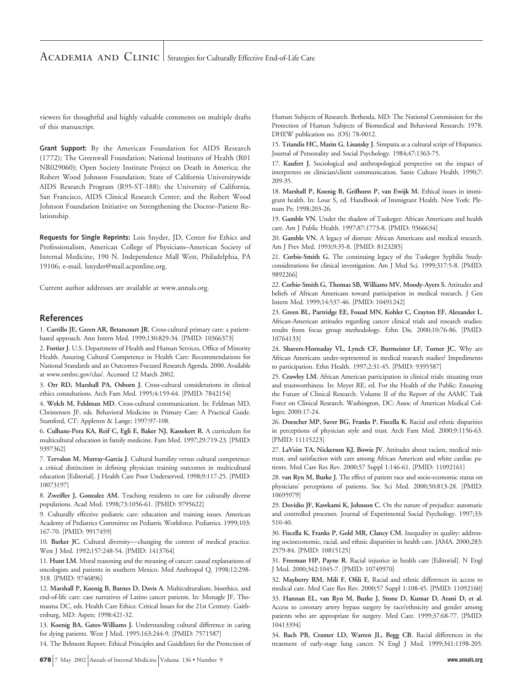## ACADEMIA AND CLINIC Strategies for Culturally Effective End-of-Life Care

viewers for thoughtful and highly valuable comments on multiple drafts of this manuscript.

**Grant Support:** By the American Foundation for AIDS Research (1772); The Greenwall Foundation; National Institutes of Health (R01 NR029060); Open Society Institute Project on Death in America; the Robert Wood Johnson Foundation; State of California Universitywide AIDS Research Program (R95-ST-188); the University of California, San Francisco, AIDS Clinical Research Center; and the Robert Wood Johnson Foundation Initiative on Strengthening the Doctor–Patient Relationship.

**Requests for Single Reprints:** Lois Snyder, JD, Center for Ethics and Professionalism, American College of Physicians–American Society of Internal Medicine, 190 N. Independence Mall West, Philadelphia, PA 19106; e-mail, lsnyder@mail.acponline.org.

Current author addresses are available at www.annals.org.

#### **References**

1. **Carrillo JE, Green AR, Betancourt JR.** Cross-cultural primary care: a patientbased approach. Ann Intern Med. 1999;130:829-34. [PMID: 10366373]

2. **Fortier J.** U.S. Department of Health and Human Services, Office of Minority Health. Assuring Cultural Competence in Health Care: Recommendations for National Standards and an Outcomes-Focused Research Agenda. 2000. Available at www.omhrc.gov/clas/. Accessed 12 March 2002.

3. **Orr RD, Marshall PA, Osborn J.** Cross-cultural considerations in clinical ethics consultations. Arch Fam Med. 1995;4:159-64. [PMID: 7842154]

4. **Welch M, Feldman MD.** Cross-cultural communication. In: Feldman MD, Christensen JF, eds. Behavioral Medicine in Primary Care: A Practical Guide. Stamford, CT: Appleton & Lange; 1997:97-108.

6. **Culhane-Pera KA, Reif C, Egli E, Baker NJ, Kassekert R.** A curriculum for multicultural education in family medicine. Fam Med. 1997;29:719-23. [PMID: 9397362]

7. Tervalon M, Murray-García J. Cultural humility versus cultural competence: a critical distinction in defining physician training outcomes in multicultural education [Editorial]. J Health Care Poor Underserved. 1998;9:117-25. [PMID: 10073197]

8. **Zweifler J, Gonzalez AM.** Teaching residents to care for culturally diverse populations. Acad Med. 1998;73:1056-61. [PMID: 9795622]

9. Culturally effective pediatric care: education and training issues. American Academy of Pediatrics Committee on Pediatric Workforce. Pediatrics. 1999;103: 167-70. [PMID: 9917459]

10. **Barker JC.** Cultural diversity—changing the context of medical practice. West J Med. 1992;157:248-54. [PMID: 1413764]

11. **Hunt LM.** Moral reasoning and the meaning of cancer: causal explanations of oncologists and patients in southern Mexico. Med Anthropol Q. 1998;12:298- 318. [PMID: 9746896]

12. **Marshall P, Koenig B, Barnes D, Davis A.** Multiculturalism, bioethics, and end-of-life care: case narratives of Latino cancer patients. In: Monagle JF, Thomasma DC, eds. Health Care Ethics: Critical Issues for the 21st Century. Gaithersburg, MD: Aspen; 1998:421-32.

13. **Koenig BA, Gates-Williams J.** Understanding cultural difference in caring for dying patients. West J Med. 1995;163:244-9. [PMID: 7571587]

14. The Belmont Report: Ethical Principles and Guidelines for the Protection of

Human Subjects of Research. Bethesda, MD: The National Commission for the Protection of Human Subjects of Biomedical and Behavioral Research; 1978. DHEW publication no. (OS) 78-0012.

15. **Triandis HC, Marin G, Lisansky J.** Simpatia as a cultural script of Hispanics. Journal of Personality and Social Psychology. 1984;47:1363-75.

17. **Kaufert J.** Sociological and anthropological perspective on the impact of interpreters on clinician/client communication. Sante Culture Health. 1990;7: 209-35.

18. **Marshall P, Koenig B, Grifhorst P, van Ewijk M.** Ethical issues in immigrant health. In: Loue S, ed. Handbook of Immigrant Health. New York: Plenum Pr; 1998:203-26.

19. **Gamble VN.** Under the shadow of Tuskegee: African Americans and health care. Am J Public Health. 1997;87:1773-8. [PMID: 9366634]

20. **Gamble VN.** A legacy of distrust: African Americans and medical research. Am J Prev Med. 1993;9:35-8. [PMID: 8123285]

21. **Corbie-Smith G.** The continuing legacy of the Tuskegee Syphilis Study: considerations for clinical investigation. Am J Med Sci. 1999;317:5-8. [PMID: 9892266]

22. **Corbie-Smith G, Thomas SB, Williams MV, Moody-Ayers S.** Attitudes and beliefs of African Americans toward participation in medical research. J Gen Intern Med. 1999;14:537-46. [PMID: 10491242]

23. **Green BL, Partridge EE, Fouad MN, Kohler C, Crayton EF, Alexander L.** African-American attitudes regarding cancer clinical trials and research studies: results from focus group methodology. Ethn Dis. 2000;10:76-86. [PMID: 10764133]

24. **Shavers-Hornaday VL, Lynch CF, Burmeister LF, Torner JC.** Why are African Americans under-represented in medical research studies? Impediments to participation. Ethn Health. 1997;2:31-45. [PMID: 9395587]

25. **Crawley LM.** African American participation in clinical trials: situating trust and trustworthiness. In: Meyer RE, ed. For the Health of the Public: Ensuring the Future of Clinical Research. Volume II of the Report of the AAMC Task Force on Clinical Research. Washington, DC: Assoc of American Medical Colleges; 2000:17-24.

26. **Doescher MP, Saver BG, Franks P, Fiscella K.** Racial and ethnic disparities in perceptions of physician style and trust. Arch Fam Med. 2000;9:1156-63. [PMID: 11115223]

27. **LaVeist TA, Nickerson KJ, Bowie JV.** Attitudes about racism, medical mistrust, and satisfaction with care among African American and white cardiac patients. Med Care Res Rev. 2000;57 Suppl 1:146-61. [PMID: 11092161]

28. **van Ryn M, Burke J.** The effect of patient race and socio-economic status on physicians' perceptions of patients. Soc Sci Med. 2000;50:813-28. [PMID: 10695979]

29. **Dovidio JF, Kawkami K, Johnson C.** On the nature of prejudice: automatic and controlled processes. Journal of Experimental Social Psychology. 1997;33: 510-40.

30. **Fiscella K, Franks P, Gold MR, Clancy CM.** Inequality in quality: addressing socioeconomic, racial, and ethnic disparities in health care. JAMA. 2000;283: 2579-84. [PMID: 10815125]

31. **Freeman HP, Payne R.** Racial injustice in health care [Editorial]. N Engl J Med. 2000;342:1045-7. [PMID: 10749970]

32. **Mayberry RM, Mili F, Ofili E.** Racial and ethnic differences in access to medical care. Med Care Res Rev. 2000;57 Suppl 1:108-45. [PMID: 11092160]

33. **Hannan EL, van Ryn M, Burke J, Stone D, Kumar D, Arani D, et al.** Access to coronary artery bypass surgery by race/ethnicity and gender among patients who are appropriate for surgery. Med Care. 1999;37:68-77. [PMID: 10413394]

34. **Bach PB, Cramer LD, Warren JL, Begg CB.** Racial differences in the treatment of early-stage lung cancer. N Engl J Med. 1999;341:1198-205.